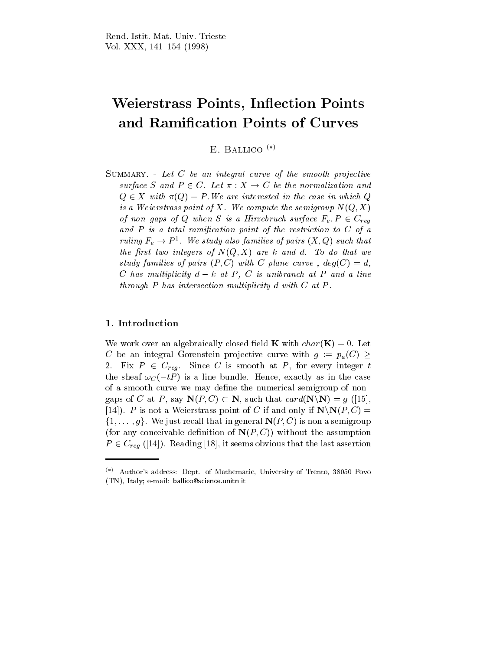# Weierstrass Points, Inflection Points and Ramication Points of Curves

E. BALLICO  $(*)$ 

SUMMARY. - Let  $C$  be an integral curve of the smooth projective surface S and  $P \in C$ . Let  $\pi : X \to C$  be the normalization and  $Q \in X$  with  $\pi(Q) = P$ . We are interested in the case in which Q is a Weierstrass point of X. We compute the semigroup  $N(Q, X)$ of non-gaps of Q when S is a Hirzebruch surface  $F_e, P \in C_{req}$ and  $P$  is a total ramification point of the restriction to  $C$  of a ruling  $F_e \rightarrow P^{\perp}$ . We study also families of pairs  $(X,Q)$  such that the first two integers of  $N(Q, X)$  are k and d. To do that we study families of pairs  $(P, C)$  with C plane curve,  $deg(C) = d$ , C has multiplicity  $d - k$  at P, C is unibranch at P and a line through  $P$  has intersection multiplicity  $d$  with  $C$  at  $P$ .

## 1. Introduction

We work over an algebraically closed field **K** with  $char(\mathbf{K})=0$ . Let C be an integral Gorenstein projective curve with  $g := p_a(C) \geq$ 2. Fix  $P \in C_{req}$ . Since C is smooth at P, for every integer t the sheaf  $\omega_C (-tP)$  is a line bundle. Hence, exactly as in the case of a smooth curve we may define the numerical semigroup of nongaps of C at P, say  $\mathbf{N}(P, C) \subset \mathbf{N}$ , such that  $card(\mathbf{N}\backslash \mathbf{N}) = g$  ([15], [14]). P is not a Weierstrass point of C if and only if  $\mathbf{N}\backslash\mathbf{N}(P,C)$  =  $\{1,\ldots,g\}$ . We just recall that in general  $\mathbf{N}(P,C)$  is non a semigroup (for any conceivable definition of  $N(P, C)$ ) without the assumption  $P \in C_{req}$  ([14]). Reading [18], it seems obvious that the last assertion

 $(*)$  Author's address: Dept. of Mathematic, University of Trento, 38050 Povo (TN), Italy; e-mail: ballico@science.unitn.it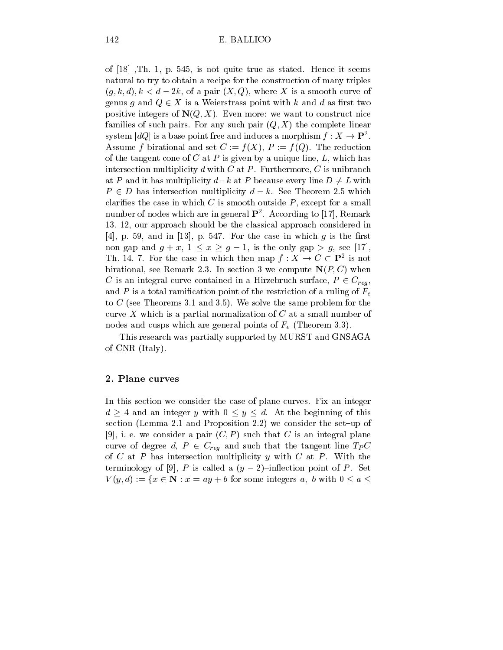of [18] ,Th. 1, p. 545, is not quite true as stated. Hence it seems natural to try to obtain a recipe for the construction of many triples  $(q, k, d), k < d - 2k$ , of a pair  $(X, Q)$ , where X is a smooth curve of genus g and  $Q \in X$  is a Weierstrass point with k and d as first two positive integers of  $N(Q, X)$ . Even more: we want to construct nice families of such pairs. For any such pair  $(Q, X)$  the complete linear system  $|dQ|$  is a base point free and induces a morphism  $f: X \to \mathbf{P}^2$ . Assume f birational and set  $C := f(X), P := f(Q)$ . The reduction of the tangent cone of  $C$  at  $P$  is given by a unique line,  $L$ , which has intersection multiplicity  $d$  with  $C$  at  $P$ . Furthermore,  $C$  is unibranch at P and it has multiplicity  $d-k$  at P because every line  $D \neq L$  with  $P \in D$  has intersection multiplicity  $d - k$ . See Theorem 2.5 which clarifies the case in which  $C$  is smooth outside  $P$ , except for a small number of nodes which are in general P2 . According to [17], Remark 13. 12, our approach should be the classical approach considered in [4], p. 59, and in [13], p. 547. For the case in which  $g$  is the first non gap and  $g + x$ ,  $1 \le x \ge g - 1$ , is the only gap  $> g$ , see [17], Th. 14. 7. For the case in which then map  $f: X \to C \subset \mathbf{P}^2$  is not birational, see Remark 2.3. In section 3 we compute  $N(P, C)$  when C is an integral curve contained in a Hirzebruch surface,  $P \in C_{reg}$ , and P is a total ramification point of the restriction of a ruling of  $F_e$ to C (see Theorems 3.1 and 3.5). We solve the same problem for the curve  $X$  which is a partial normalization of  $C$  at a small number of nodes and cusps which are general points of  $F_e$  (Theorem 3.3).

This research was partially supported by MURST and GNSAGA of CNR (Italy).

#### 2. Plane curves

In this section we consider the case of plane curves. Fix an integer  $d > 4$  and an integer y with  $0 \le y \le d$ . At the beginning of this section (Lemma 2.1 and Proposition 2.2) we consider the set-up of [9], i. e. we consider a pair  $(C, P)$  such that C is an integral plane curve of degree d,  $P \in C_{reg}$  and such that the tangent line  $T_P C$ of C at P has intersection multiplicity y with C at P. With the terminology of [9], P is called a  $(y-2)$ -inflection point of P. Set  $V(y, d) := \{x \in \mathbb{N} : x = ay + b \text{ for some integers } a, b \text{ with } 0 \le a \le b \}$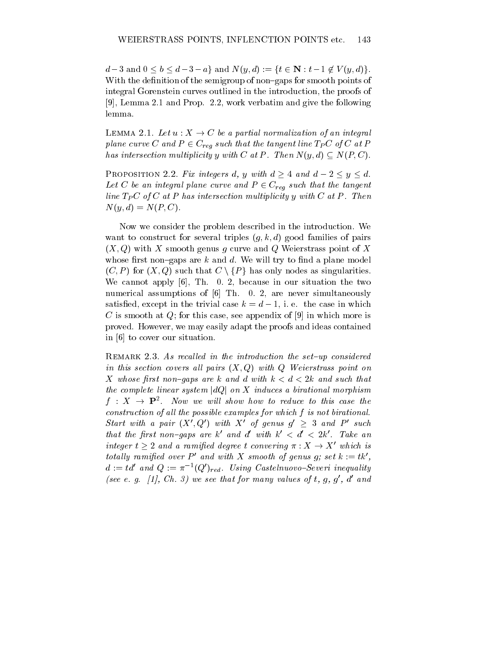$d-3$  and  $0 \leq b \leq d-3-a$  and  $N(y, d) := \{t \in \mathbb{N} : t-1 \notin V (y, d)\}.$ With the definition of the semigroup of non-gaps for smooth points of integral Gorenstein curves outlined in the introduction, the proofs of [9], Lemma 2.1 and Prop. 2.2, work verbatim and give the following lemma.

LEMMA 2.1. Let  $u: X \to C$  be a partial normalization of an integral plane curve C and  $P \in C_{req}$  such that the tangent line  $T_P C$  of C at P has intersection multiplicity y with C at P. Then  $N(y, d) \subseteq N(P, C)$ .

PROPOSITION 2.2. Fix integers d, y with  $d > 4$  and  $d - 2 \le y \le d$ . Let C be an integral plane curve and  $P \in C_{req}$  such that the tangent line  $T_P C$  of C at P has intersection multiplicity y with C at P. Then  $N(y, d) = N(P, C).$ 

Now we consider the problem described in the introduction. We want to construct for several triples  $(g, k, d)$  good families of pairs  $(X, Q)$  with X smooth genus g curve and Q Weierstrass point of X whose first non-gaps are  $k$  and  $d$ . We will try to find a plane model  $(C, P)$  for  $(X, Q)$  such that  $C \setminus \{P\}$  has only nodes as singularities. We cannot apply [6], Th. 0. 2, because in our situation the two numerical assumptions of [6] Th. 0. 2, are never simultaneously satisfied, except in the trivial case  $k = d - 1$ , i. e. the case in which C is smooth at Q; for this case, see appendix of  $[9]$  in which more is proved. However, we may easily adapt the proofs and ideas contained in [6] to cover our situation.

REMARK 2.3. As recalled in the introduction the set-up considered in this section covers all pairs  $(X, Q)$  with Q Weierstrass point on X whose first non-gaps are k and d with  $k < d < 2k$  and such that the complete linear system  $|dQ|$  on X induces a birational morphism  $f : X \rightarrow \mathbf{P}^2$ . Now we will show how to reduce to this case the construction of all the possible examples for which  $f$  is not birational. Start with a pair  $(X', Q')$  with X' of genus  $g' \geq 3$  and P' such that the first non-gaps are k' and d' with  $k' < d' < 2k'$ . Take an integer  $t \geq 2$  and a ramified degree t convering  $\pi : X \to X'$  which is totally ramified over  $P'$  and with X smooth of genus g; set  $k := tk'$ ,  $a := \tau a$  and  $Q := \pi$   $\lnot (Q \rvert_{red}.$  Using Castelnuovo-Severi inequality (see e.q.  $\mu$ , Ch. 3) we see that for many values of t, q, q, a una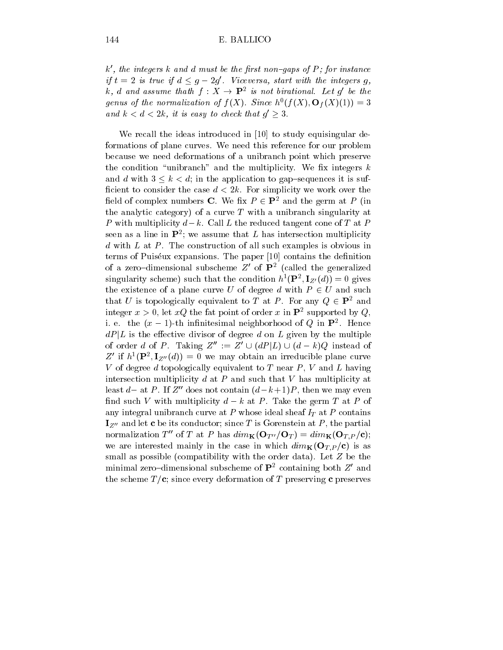$k'$ , the integers k and d must be the first non-gaps of P; for instance if  $t = 2$  is true if  $d \leq g - 2g'$ . Viceversa, start with the integers g, k, d and assume thath  $f: X \rightarrow \mathbf{P}^2$  is not birational. Let q' be the genus of the normalization of  $f(X)$ . Since h  $(f(X), O_f(X)(1)) = 3$ and  $k < d < 2k$ , it is easy to check that  $g' \geq 3$ .

We recall the ideas introduced in [10] to study equisingular deformations of plane curves. We need this reference for our problem because we need deformations of a unibranch point which preserve the condition "unibranch" and the multiplicity. We fix integers  $k$ and d with  $3 \leq k < d$ ; in the application to gap-sequences it is sufficient to consider the case  $d < 2k$ . For simplicity we work over the field of complex numbers **C**. We fix  $P \in \mathbf{P}^2$  and the germ at P (in the analytic category) of a curve  $T$  with a unibranch singularity at P with multiplicity  $d-k$ . Call L the reduced tangent cone of T at P seen as a line in  $\mathbf r$  ; we assume that  $L$  has intersection multiplicity  $d$  with  $L$  at  $P$ . The construction of all such examples is obvious in terms of Puiséux expansions. The paper  $[10]$  contains the definition of a zero-dimensional subscheme  $Z$  of  ${\bf P}^2$  (called the generalized singularity scheme) such that the condition  $h^-(\mathbf{F}^*, \mathbf{I}_{Z'}(a)) = 0$  gives the existence of a plane curve U of degree d with  $P \in U$  and such that U is topologically equivalent to T at P. For any  $Q \in \mathbf{P}^2$  and integer  $x > 0$ , let  $xQ$  the fat point of order x in  $\mathbf{P}^2$  supported by Q, i. e. the  $(x-1)$ -th infinitesimal neighborhood of  $Q$  in  ${\bf F}$  . Hence  $dP|L$  is the effective divisor of degree d on L given by the multiple of order d of P. Taking  $Z'' := Z' \cup (dP | L) \cup (d - k)Q$  instead of  $Z$  if  $h^*(\mathbf{F}^*, \mathbf{I}_{Z^{\prime\prime}}(a)) = 0$  we may obtain an irreducible plane curve V of degree  $d$  topologically equivalent to  $T$  near  $P$ ,  $V$  and  $L$  having intersection multiplicity  $d$  at  $P$  and such that  $V$  has multiplicity at least d– at P. If  $Z''$  does not contain  $(d-k+1)P$ , then we may even find such V with multiplicity  $d - k$  at P. Take the germ T at P of any integral unibranch curve at P whose ideal sheaf  $I_T$  at P contains  $\mathbf{I}_{Z^{\prime\prime}}$  and let c be its conductor; since T is Gorenstein at P, the partial normalization T<sup>''</sup> of T at P has  $dim_{\mathbf{K}}(\mathbf{O}_{T''}/\mathbf{O}_T) = dim_{\mathbf{K}}(\mathbf{O}_{T,P}/c);$ we are interested mainly in the case in which  $dim_{\mathbf{K}}(\mathbf{O}_{T,P}/c)$  is as small as possible (compatibility with the order data). Let Z be the minimal zero-dimensional subscheme of  $\mathbf{P}^2$  containing both  $Z'$  and the scheme  $T/c$ ; since every deformation of T preserving c preserves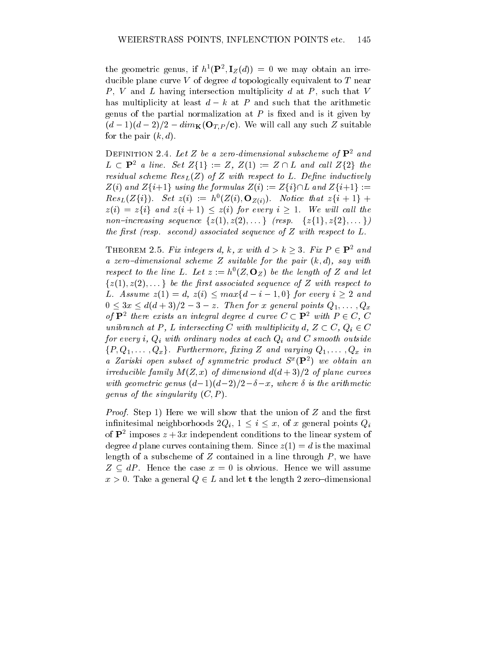the geometric genus, if  $h^*(\mathbf{F}^*, \mathbf{I}_Z(u)) = 0$  we may obtain an irreducible plane curve  $V$  of degree d topologically equivalent to  $T$  near  $P, V$  and  $L$  having intersection multiplicity  $d$  at  $P$ , such that  $V$ has multiplicity at least  $d - k$  at P and such that the arithmetic genus of the partial normalization at  $P$  is fixed and is it given by  $(d-1)(d-2)/2-dim_{\mathbf{K}}(\mathbf{O}_{T,P}/c)$ . We will call any such Z suitable for the pair  $(k, d)$ .

DEFINITION 2.4. Let Z be a zero-dimensional subscheme of  $\mathbf{P}^2$  and  $L \subset \mathbf{P}^2$  a line. Set  $Z\{1\} := Z$ ,  $Z(1) := Z \cap L$  and call  $Z\{2\}$  the residual scheme  $Res_{L}(Z)$  of Z with respect to L. Define inductively  $Z(i)$  and  $Z\{i+1\}$  using the formulas  $Z(i) := Z\{i\} \cap L$  and  $Z\{i+1\} :=$  $Res_{L}(Z\{i\})$ . Set  $z(i) := h^{0}(Z(i), \mathbf{O}_{Z(i)})$ . Notice that  $z\{i+1\}$  +  $z(i) = z\{i\}$  and  $z(i + 1) \leq z(i)$  for every  $i \geq 1$ . We will call the non-increasing sequence  $\{z(1), z(2),...\}$  (resp.  $\{z\{1\}, z\{2\},...\}$ ) the first (resp. second) associated sequence of  $Z$  with respect to  $L$ .

THEOREM 2.5. Fix integers d, k, x with  $d > k > 3$ . Fix  $P \in \mathbf{P}^2$  and a zero-dimensional scheme Z suitable for the pair  $(k, d)$ , say with respect to the line L. Let  $z := n^-(\mathcal{Z}, \mathbf{U}_Z)$  be the length of  $\mathcal Z$  and let  $\{z(1), z(2), \ldots\}$  be the first associated sequence of Z with respect to L. Assume  $z(1) = d$ ,  $z(i) \leq max\{d-i-1, 0\}$  for every  $i \geq 2$  and  $0 \leq 3x \leq d(d+3)/2-3-z$ . Then for x general points  $Q_1,\ldots,Q_x$ of  $\mathbf{P}^2$  there exists an integral degree d curve  $C \subset \mathbf{P}^2$  with  $P \in C$ , C unibranch at P, L intersecting C with multiplicity d,  $Z \subset C$ ,  $Q_i \in C$ for every i,  $Q_i$  with ordinary nodes at each  $Q_i$  and C smooth outside  $\{P, Q_1, \ldots, Q_x\}$ . Furthermore, fixing Z and varying  $Q_1, \ldots, Q_x$  in a zariski open subset of symmetric product  $S^-(\mathbf{F}^-)$  we obtain an irreducible family  $M(Z, x)$  of dimensiond  $d(d+3)/2$  of plane curves with geometric genus  $(d-1)(d-2)/2-\delta-x$ , where  $\delta$  is the arithmetic genus of the singularity  $(C, P)$ .

*Proof.* Step 1) Here we will show that the union of  $Z$  and the first infinitesimal neighborhoods  $2Q_i$ ,  $1 \leq i \leq x$ , of x general points  $Q_i$ of  $P^2$  imposes  $z + 3x$  independent conditions to the linear system of degree d plane curves containing them. Since  $z(1) = d$  is the maximal length of a subscheme of  $Z$  contained in a line through  $P$ , we have  $Z \subseteq dP$ . Hence the case  $x = 0$  is obvious. Hence we will assume  $x > 0$ . Take a general  $Q \in L$  and let t the length 2 zero-dimensional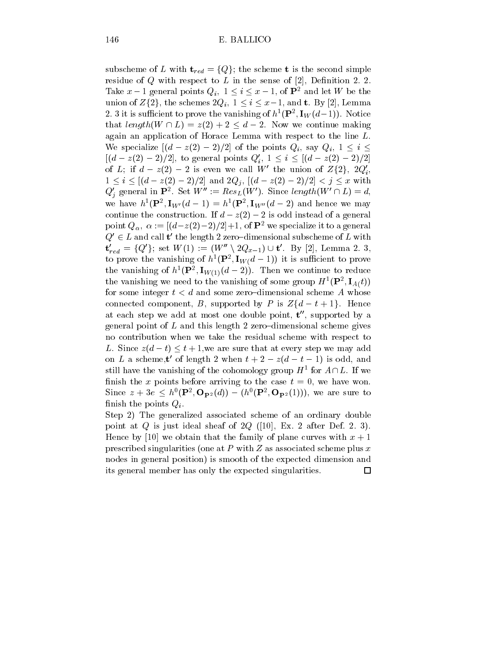subscheme of L with  $\mathbf{t}_{red} = \{Q\}$ ; the scheme **t** is the second simple residue of  $Q$  with respect to  $L$  in the sense of [2], Definition 2. 2. Take  $x-1$  general points  $Q_i$ ,  $1 \le i \le x-1$ , of  $\mathbf{P}^2$  and let W be the union of  $Z\{2\}$ , the schemes  $2Q_i$ ,  $1 \leq i \leq x-1$ , and **t**. By [2], Lemma 2. 3 it is sufficient to prove the vanishing of  $n_{\parallel}$  (**F**  $\parallel$ , **I**<sub>W</sub>( $a$ –1)). Notice that length( $W \cap L$ ) =  $z(2) + 2 \leq d - 2$ . Now we continue making again an application of Horace Lemma with respect to the line L. We specialize  $[(d - z(2) - 2)/2]$  of the points  $Q_i$ , say  $Q_i$ ,  $1 \leq i \leq$  $[(d - z(2) - 2)/2]$ , to general points  $Q'_i$ ,  $1 \leq i \leq [(d - z(2) - 2)/2]$ of L; if  $d - z(2) - 2$  is even we call W' the union of  $Z\{2\}$ ,  $2Q_i'$ ,  $1 \leq i \leq [(d - z(2) - 2)/2]$  and  $2Q_j$ ,  $[(d - z(2) - 2)/2] < j \leq x$  with  $Q_j$  general in  $\mathbf{P}^2$ . Set  $W'' := Res_L(W')$ . Since length $(W' \cap L) = d$ , we have  $h\left(\mathbf{F}\right),\mathbf{I}_{W'}(a-1)\equiv h\left(\mathbf{F}\right),\mathbf{I}_{W''}(a-2)$  and hence we may continue the construction. If  $d - z(2) - 2$  is odd instead of a general point  $Q_{\alpha}$ ,  $\alpha := \frac{(d-z(2)-2)}{2}+1$ , of  $\mathbf{P}^2$  we specialize it to a general  $Q' \in L$  and call t' the length 2 zero–dimensional subscheme of L with  ${\bf t}'_{red} = \{Q'\}; \textrm{ set } W(1) := (W'' \setminus 2Q_{x-1}) \cup {\bf t}'. \textrm{ By [2], Lemma 2. 3,}$ to prove the vanishing of  $n^-(\mathbf{F}^-, \mathbf{I}_W(a-1))$  it is sufficient to prove the vanishing of h  $(\mathbf{r}^*, \mathbf{I}_{W(1)}(a - 2))$ . Then we continue to reduce the vanishing we need to the vanishing of some group  $\boldsymbol{\pi}$  (**F**),  $\mathbf{1}_{A}(t)$ ) for some integer  $t < d$  and some zero-dimensional scheme A whose connected component, B, supported by P is  $Z\{d - t + 1\}$ . Hence at each step we add atmost one double point, <sup>t</sup> 00, supported by a general point of  $L$  and this length 2 zero-dimensional scheme gives no contribution when we take the residual scheme with respect to L. Since  $z(d-t) \leq t+1$ , we are sure that at every step we may add on L a scheme, t of length  $2$  when  $t + 2 - z(a - t - 1)$  is odd, and still have the vanishing of the cohomology group  $H^{\perp}$  for  $A \cap L$ . If we finish the x points before arriving to the case  $t = 0$ , we have won. Since  $z + 3e \leq h^0(P^2, \mathbf{O}_{\mathbf{P}^2}(d)) - (h^0(P^2, \mathbf{O}_{\mathbf{P}^2}(1))),$  we are sure to finish the points  $Q_i$ .

Step 2) The generalized associated scheme of an ordinary double point at Q is just ideal sheaf of  $2Q$  ([10], Ex. 2 after Def. 2. 3). Hence by [10] we obtain that the family of plane curves with  $x + 1$ prescribed singularities (one at P with  $Z$  as associated scheme plus x nodes in general position) is smooth of the expected dimension and its general member has only the expected singularities. $\Box$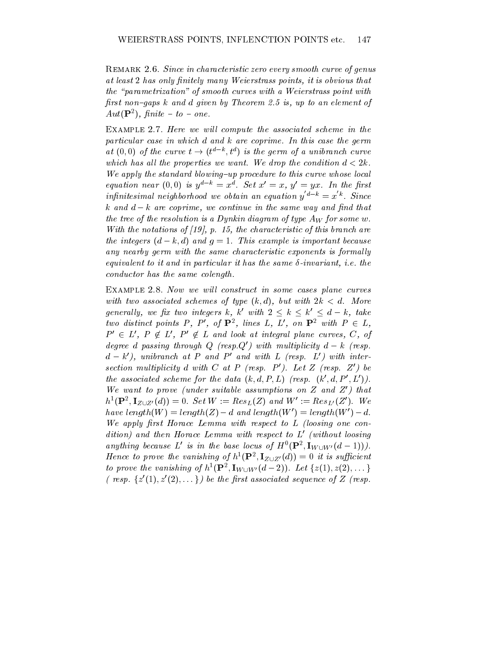REMARK 2.6. Since in characteristic zero every smooth curve of genus at least 2 has only finitely many Weierstrass points, it is obvious that the "parametrization" of smooth curves with a Weierstrass point with first non-gaps k and d given by Theorem 2.5 is, up to an element of  $A$ ut( $\mathbf{r}$  ),  $\mu$ nite = to = one.

EXAMPLE 2.7. Here we will compute the associated scheme in the particular case in which d and k are coprime. In this case the germ at  $(0,0)$  of the curve  $t\rightarrow (t^{a-n}, t^a)$  is the germ of a unibranch curve which has all the properties we want. We drop the condition  $d < 2k$ . We apply the standard blowing-up procedure to this curve whose local equation near (0,0) is  $u = x$  . Set  $x = x$ ,  $u = u x$ . In the first infinitesimal neighborhood we obtain an equation  $y^{a-k} = x^k$ . Since k and  $d - k$  are coprime, we continue in the same way and find that the tree of the resolution is a Dynkin diagram of type  $A_W$  for some w. With the notations of  $(19)$ , p. 15, the characteristic of this branch are the integers  $(d - k, d)$  and  $g = 1$ . This example is important because any nearby germ with the same characteristic exponents is formally equivalent to it and in particular it has the same  $\delta$ -invariant, i.e. the conductor has the same colength.

EXAMPLE 2.8. Now we will construct in some cases plane curves with two associated schemes of type  $(k, d)$ , but with  $2k < d$ . More generally, we fix two integers k, k' with  $2 \leq k \leq k' \leq d - k$ , take two distinct points P, P', of  $\mathbf{P}^2$ , lines L, L', on  $\mathbf{P}^2$  with  $P \in L$ ,  $P' \in L'$ ,  $P \notin L'$ ,  $P' \notin L$  and look at integral plane curves, C, of degree d passing through Q (resp. Q') with multiplicity  $d - k$  (resp.  $d - k'$ ), unibranch at P and P' and with L (resp. L') with intersection multiplicity d with C at P (resp.  $P'$ ). Let Z (resp.  $Z'$ ) be the associated scheme for the data  $(k, d, P, L)$  (resp.  $(k', d, P', L')$ ). We want to prove (under suitable assumptions on  $Z$  and  $Z'$ ) that  $\mu$  (**P**,  $\mathbf{1}_{Z\cup Z'}(a)$ ) = 0. Set  $W := \text{Res}_L(Z)$  and  $W := \text{Res}_{L'}(Z)$ . We have  $length(W) = length(Z) - d$  and  $length(W') = length(W') - d$ . We apply first Horace Lemma with respect to  $L$  (loosing one condition) and then Horace Lemma with respect to  $L^{\prime}$  (without loosing anything because  $L$  is in the base tocus of  $H^1(\mathbf{F}^-, \mathbf{I}_{W\cup W'}(a-1)))$ . Hence to prove the vanishing of  $n^-(P^-, \mathbf{1}_{Z\cup Z'}(a)) = 0$  it is sufficient to prove the vanishing of  $h^1(\mathbf{P}^2, \mathbf{I}_{W \cup W'}(d-2))$ . Let  $\{z(1), z(2), \dots\}$ ( resp.  $\{z'(1), z'(2), \dots\}$ ) be the first associated sequence of Z (resp.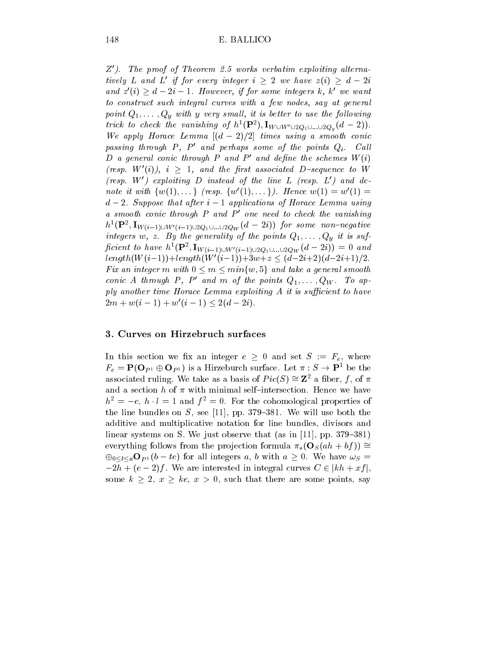$Z<sup>'</sup>$ ). The proof of Theorem 2.5 works verbatim exploiting alternatively L and L' if for every integer  $i > 2$  we have  $z(i) > d - 2i$ and  $z'(i) \geq d-2i-1$ . However, if for some integers k, k' we want to construct such integral curves with a few nodes, say at general point  $Q_1,\ldots,Q_y$  with y very small, it is better to use the following ifick to check the vanishing of  $n^-(\mathbf{F}^-)$ ,  $\mathbf{I}_{W\cup W'\cup 2Q_1\cup ... \cup 2Q_y}(a-2)$ . We apply Horace Lemma  $[(d-2)/2]$  times using a smooth conic passing through  $P$ ,  $P'$  and perhaps some of the points  $Q_i$ . Call D a general conic through P and P' and define the schemes  $W(i)$ (resp.  $W'(i)$ ),  $i \geq 1$ , and the first associated D-sequence to W (resp.  $W'$ ) exploiting D instead of the line L (resp.  $L'$ ) and denote it with  $\{w(1),... \}$  (resp.  $\{w'(1),... \}$ ). Hence  $w(1) = w'(1) =$  $d-2$ . Suppose that after  $i-1$  applications of Horace Lemma using a smooth conic through  $P$  and  $P'$  one need to check the vanishing  $h^-(\mathbf{F}^-, \mathbf{I}_{W(i-1)\cup W'(i-1)\cup 2Q_1\cup...\cup 2Q_W}$   $(a-zi))$  for some non-negative ان م, 2011 تان *ان ان ان ان ان ان ان ان ان ان ان* pcient to have  $h^-(\mathbf{P}^-, \mathbf{I}_{W(i-1)\cup W'(i-1)\cup 2Q_1\cup ... \cup 2Q_W}(a-2i)) = 0$  and  $length(W(i-1))+length(W'(i-1))+3w+z \leq (d-2i+2)(d-2i+1)/2.$ Fix an integer m with  $0 \le m \le \min\{w, 5\}$  and take a general smooth conic A through P, P' and m of the points  $Q_1,\ldots,Q_W$ . To apply another time Horace Lemma exploiting  $A$  it is sufficient to have  $2m + w(i - 1) + w'(i - 1) \leq 2(d - 2i).$ 

### 3. Curves on Hirzebruch surfaces

In this section we fix an integer  $e \geq 0$  and set  $S := F_e$ , where  $F_e = \mathbf{P}(\mathbf{O}_{P1} \oplus \mathbf{O}_{P1})$  is a Hirzeburch surface. Let  $\pi : S \to \mathbf{P}^1$  be the associated ruling. We take as a basis of  $Pic(S) \cong \mathbb{Z}^2$  a fiber, f, of  $\pi$ and a section h of  $\pi$  with minimal self-intersection. Hence we have  $h^{2} = -e$ ,  $h \cdot l = 1$  and  $f^{2} = 0$ . For the cohomological properties of the line bundles on  $S$ , see [11], pp. 379-381. We will use both the additive and multiplicative notation for line bundles, divisors and linear systems on S. We just observe that (as in [11], pp.  $379-381$ ) everything follows from the projection formula  $\pi_*(\mathbf{O}_S (ah + bf)) \cong$  $\bigoplus_{0 \leq t \leq a} \mathbf{O}_{P^1}(b - te)$  for all integers a, b with  $a \geq 0$ . We have  $\omega_S =$  $-2h + (e - 2)f$ . We are interested in integral curves  $C \in [kh + xf]$ , some  $k \geq 2$ ,  $x \geq ke$ ,  $x > 0$ , such that there are some points, say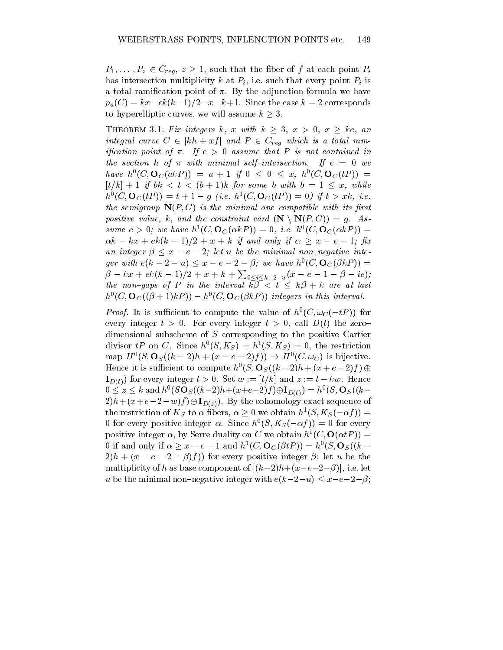$P_1,\ldots,P_z\in C_{req}, z \geq 1$ , such that the fiber of f at each point  $P_i$ has intersection multiplicity k at  $P_i$ , i.e. such that every point  $P_i$  is a total ramification point of  $\pi$ . By the adjunction formula we have  $p_a(C) = kx - ek(k-1)/2 - x - k + 1$ . Since the case  $k = 2$  corresponds to hyperelliptic curves, we will assume  $k \geq 3$ .

THEOREM 3.1. Fix integers k, x with  $k \geq 3$ ,  $x > 0$ ,  $x \geq ke$ , an integral curve  $C \in |kh + xf|$  and  $P \in C_{req}$  which is a total ramification point of  $\pi$ . If  $e > 0$  assume that P is not contained in the section h of  $\pi$  with minimal self-intersection. If  $e = 0$  we have  $h^0(C, \mathbf{O}_C(a kP)) = a + 1$  if  $0 \leq 0 \leq x$ ,  $h^0(C, \mathbf{O}_C(tP)) =$  $[t/k]+1$  if  $bk < t < (b+1)k$  for some b with  $b = 1 \leq x$ , while  $h^{\infty}(\mathbf{C},\mathbf{O}_C(tF)) = t + 1 - g$  (i.e.  $h^{\infty}(\mathbf{C},\mathbf{O}_C(tF)) = 0$ ) if  $t > x\kappa$ , i.e. the semigroup  $N(P, C)$  is the minimal one compatible with its first positive value, k, and the constraint card  $(\mathbf{N} \setminus \mathbf{N}(P, C)) = g$ . Assume  $e > 0$ ; we have  $h^*(C, \mathbf{U}_C(\alpha \kappa P)) = 0$ , i.e.  $h^*(C, \mathbf{U}_C(\alpha \kappa P)) =$  $\alpha k - kx + e k(k-1)/2 + x + k$  if and only if  $\alpha \geq x - e - 1$ ; fix an integer  $\beta \leq x - e - 2$ ; let u be the minimal non-negative integer with  $e(k-2-u) \leq x-e-2-\beta$ ; we have  $h^0(C, \mathbf{O}_C(\beta kP)) =$  $\beta - kx + ek(k - 1)/2 + x + k + \sum_{0 \leq i \leq k - 2 - u} (x - e - 1 - \beta - ie);$ the non-gaps of P in the interval  $\bar{k}\bar{\beta} < t \leq k\beta + k$  are at last  $h^{\infty}(\mathcal{C},\mathbf{O}_C((\rho+1)\kappa\mathcal{F}))=h^{\infty}(\mathcal{C},\mathbf{O}_C(\rho\kappa\mathcal{F}))$  integers in this interval.

*Proof.* It is sufficient to compute the value of  $n$  (C,  $\omega_C(-iF)$ ) for every integer  $t > 0$ . For every integer  $t > 0$ , call  $D(t)$  the zerodimensional subscheme of S corresponding to the positive Cartier divisor *if* on C. Since  $h^*(S, K_S) = h^*(S, K_S) = 0$ , the restriction map  $H^{\circ}(S, \mathbf{O}_S((k-2)h + (x - e - 2)f)) \to H^{\circ}(C, \omega_C)$  is bijective. Hence it is sufficient to compute  $h^o(S, \mathbf{O}_S((k-2)h + (x + e - 2)f) \oplus$  $\mathbf{I}_{D(t)}$  for every integer  $t > 0$ . Set  $w := [t/k]$  and  $z := t - kw$ . Hence  $0 \leq z \leq k$  and  $h^0(S\mathbf{O}_S((k-2)h+(x+e-2)f)\oplus \mathbf{I}_{D(t)}) = h^0(S,\mathbf{O}_S((k-2)h+(x+e-2)f))$  $2)h+(x+e-2-w)f(\oplus I_{D(z)})$ . By the cohomology exact sequence of the restriction of  $K_S$  to  $\alpha$  fibers,  $\alpha \geq 0$  we obtain  $h^1(S, K_S(-\alpha f)) =$ 0 for every positive integer  $\alpha$ . Since  $h^*(S, K_S(-\alpha f)) = 0$  for every positive integer  $\alpha$ , by Serre duality on C we obtain  $h^*(C, \mathbf{U}(\alpha tF)) =$ 0 if and only if  $\alpha \geq x - e - 1$  and  $h^1(C, \mathbf{O}_C(\beta t) ) = h^0(S, \mathbf{O}_S((k 2(h + (x - e - 2 - \beta)f)$  for every positive integer  $\beta$ ; let u be the multiplicity of h as base component of  $|(k-2)h+(x-e-2-\beta)|$ , i.e. let u be the minimal non-negative integer with  $e(k-2-u) \leq x-e-2-\beta;$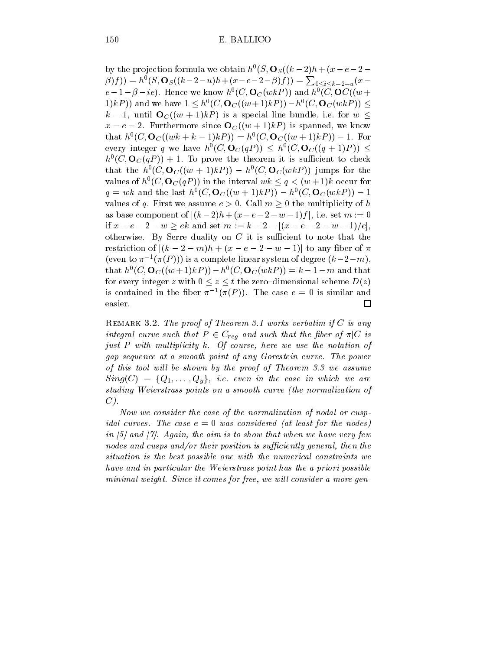by the projection formula we obtain  $h^*(S, \mathbf{U}_S)(k-2)h + (x - e - 2 \beta(f)) = h^0(S, \mathbf{O}_S((k-2-u)h + (x-e-2-\beta)f)) = \sum_{0 \le i \le k-2-u} (x-e^{-\beta})f$  $e-1-p$  –  $ie$ ). Hence we know  $h^*(C, \mathbf{U}_C(w\kappa P))$  and  $h^*(C, \mathbf{U}_C(w+$  $(1)kP$ ) and we have  $1 \le h^0(C, \mathbf{O}_C((w+1)kP)) - h^0(C, \mathbf{O}_C(wkP)) \le h^0(C, \mathbf{O}_C(wkP))$  $k-1$ , until  $\mathbf{O}_C((w+1)kP)$  is a special line bundle, i.e. for  $w \leq$  $x - e - 2$ . Furthermore since  $O<sub>C</sub>((w + 1)kP)$  is spanned, we know that  $h^*(C, \mathbf{U}_C((w\kappa + \kappa - 1)\kappa F)) = h^*(C, \mathbf{U}_C((w + 1)\kappa F)) = 1$ . For every integer q we have  $h^0(C, \mathbf{O}_C(qP)) \leq h^0(C, \mathbf{O}_C((q+1)P)) \leq$  $h^*(C, \mathbf{U}_C(qF))$  + 1. To prove the theorem it is sufficient to check that the  $h^*(C, \mathbf{O}_C((w + 1)\kappa F)) = h^*(C, \mathbf{O}_C(w\kappa F))$  jumps for the values of  $h^0(C, \mathbf{O}_C(qP))$  in the interval  $wk \leq q < (w+1)k$  occur for  $q = w\kappa$  and the last  $h^*(C, \mathbf{U}_C((w + 1)\kappa P)) = h^*(C, \mathbf{U}_C(w\kappa P)) = 1$ values of q. First we assume  $e > 0$ . Call  $m \geq 0$  the multiplicity of h as base component of  $|(k - 2)h + (x - e - 2 - w - 1)f|$ , i.e. set  $m := 0$ if  $x - e - 2 - w \ge ek$  and set  $m := k - 2 - [(x - e - 2 - w - 1)/e],$ otherwise. By Serre duality on  $C$  it is sufficient to note that the restriction of  $|(k-2-m)h+(x-e-2-w-1)|$  to any fiber of  $\pi$ (even to  $\pi^{-1}(\pi(P))$ ) is a complete linear system of degree  $(\kappa-2-m)$ , that  $h^-(C, \mathbf{O}_C^{\bullet}((w+1)kF)) = h^-(C, \mathbf{O}_C^{\bullet}(wkF)) = k - 1 - m$  and that for every integer z with  $0 \le z \le t$  the zero-dimensional scheme  $D(z)$ is contained in the liber  $\pi$  ( $\pi(F)$ ). The case  $e = 0$  is similar and  $\Box$ 

REMARK 3.2. The proof of Theorem 3.1 works verbatim if  $C$  is any integral curve such that  $P \in C_{req}$  and such that the fiber of  $\pi |C|$  is just  $P$  with multiplicity  $k$ . Of course, here we use the notation of gap sequence at a smooth point of any Gorestein curve. The power of this tool will be shown by the proof of Theorem  $3.3$  we assume  $Sing(C) = \{Q_1, \ldots, Q_v\},\ i.e. \ even \ in \ the \ case \ in \ which \ we \ are$ studing Weierstrass points on a smooth curve (the normalization of  $C$ ).

Now we consider the case of the normalization of nodal or cusp*idal curves.* The case  $e = 0$  was considered (at least for the nodes) in  $[5]$  and  $[7]$ . Again, the aim is to show that when we have very few nodes and cusps and/or their position is sufficiently general, then the situation is the best possible one with the numerical constraints we have and in particular the Weierstrass point has the a priori possible minimal weight. Since it comes for free, we will consider a more gen-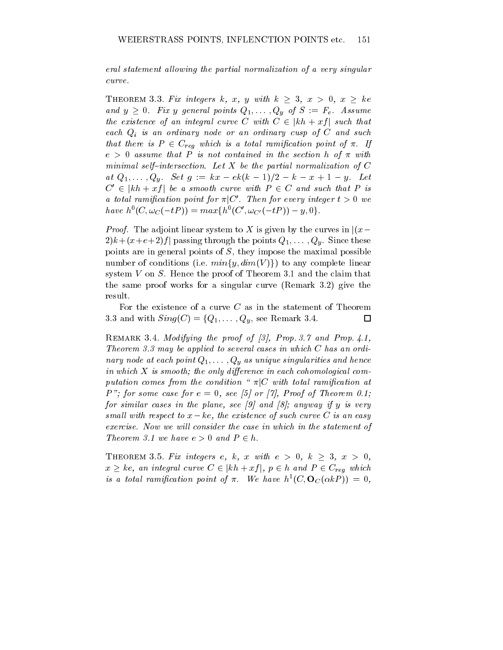eral statement allowing the partial normalization of a very singular curve.

THEOREM 3.3. Fix integers k, x, y with  $k \geq 3$ ,  $x > 0$ ,  $x \geq ke$ and  $y \geq 0$ . Fix y general points  $Q_1,\ldots,Q_y$  of  $S := F_e$ . Assume the existence of an integral curve C with  $C \in |kh + xf|$  such that each  $Q_i$  is an ordinary node or an ordinary cusp of  $C$  and such that there is  $P \in C_{req}$  which is a total ramification point of  $\pi$ . If  $e > 0$  assume that P is not contained in the section h of  $\pi$  with minimal self-intersection. Let X be the partial normalization of  $C$ at  $Q_1,\ldots,Q_y$ . Set  $g := kx - ek(k-1)/2 - k - x + 1 - y$ . Let  $C' \in |kh + xf|$  be a smooth curve with  $P \in C$  and such that P is a total ramification point for  $\pi|C'$ . Then for every integer  $t > 0$  we  $have\,\,h^0(C,\omega_C(-tP))=max\{h^0(C',\omega_{C'}(-tP))-y,0\}.$ 

*Proof.* The adjoint linear system to X is given by the curves in  $|(x 2)k + (x+e+2)f$  passing through the points  $Q_1,\ldots,Q_y$ . Since these points are in general points of  $S$ , they impose the maximal possible number of conditions (i.e.  $min\{y, dim(V)\}\$ ) to any complete linear system V on S. Hence the proof of Theorem 3.1 and the claim that the same proof works for a singular curve (Remark 3.2) give the result.

For the existence of a curve  $C$  as in the statement of Theorem 3.3 and with  $Sing(C) = \{Q_1, \ldots, Q_y, \text{ see Remark 3.4.}\}$  $\Box$ 

REMARK 3.4. Modifying the proof of [3], Prop. 3.7 and Prop. 4.1, Theorem 3.3 may be applied to several cases in which C has an ordinary node at each point  $Q_1,\ldots,Q_y$  as unique singularities and hence in which  $X$  is smooth; the only difference in each cohomological computation comes from the condition " $\pi | C$  with total ramification at P"; for some case for  $e = 0$ , see [5] or [7], Proof of Theorem 0.1; for similar cases in the plane, see [9] and [8]; anyway if y is very small with respect to  $x - ke$ , the existence of such curve C is an easy exercise. Now we will consider the case in which in the statement of Theorem 3.1 we have  $e > 0$  and  $P \in h$ .

THEOREM 3.5. Fix integers e, k, x with  $e > 0$ ,  $k \geq 3$ ,  $x > 0$ ,  $x \geq ke$ , an integral curve  $C \in |kh + xf|$ ,  $p \in h$  and  $P \in C_{reg}$  which is a total ramification point of  $\pi$ . We have  $h$   $(C,\mathbf{O}_C(\alpha\kappa_{F}))=0,$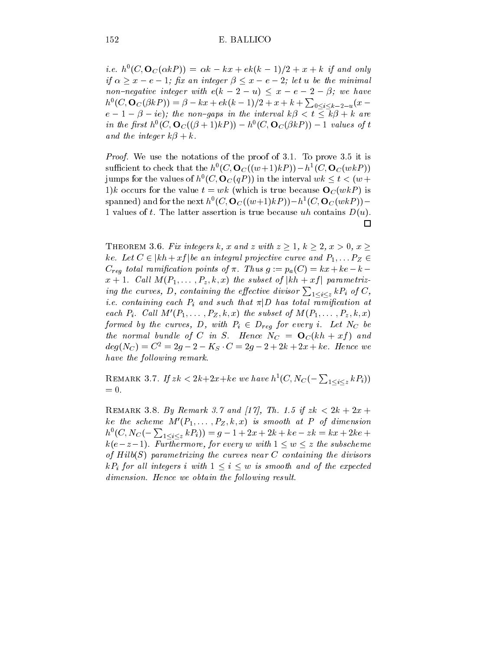*i.e.*  $h^{\circ}(C, \mathbf{U}_C(\alpha \kappa F)) = \alpha \kappa - \kappa x + e \kappa (\kappa - 1)/2 + x + \kappa$  if and only if  $\alpha > x - e - 1$ ; fix an integer  $\beta < x - e - 2$ ; let u be the minimal non-negative integer with  $e(k-2-u) \le x-e-2-\beta$ ; we have  $h^0(C, \mathbf{O}_C(\beta kP)) = \beta - kx + ek(k-1)/2 + x + k + \sum_{0 \le i \le k-2-u}(x$  $e-1-\beta - ie$ ); the non-gaps in the interval  $k\beta < t \leq \overline{k}\beta + k$  are in the first  $h^{\circ}(C, \mathbf{O}_C((\beta + 1)\kappa F)) = h^{\circ}(C, \mathbf{O}_C(\beta \kappa F)) = 1$  values of t and the integer  $k\beta + k$ .

Proof. We use the notations of the proof of 3.1. To prove 3.5 it is sumcient to check that the h  $(C, \mathbf{O}_C((w+1)kF)) = h^*(C, \mathbf{O}_C(wkF))$ jumps for the values of  $h^0(C, \mathbf{O}_C(qP))$  in the interval  $wk \leq t < (w +$ 1)k occurs for the value  $t = wk$  (which is true because  $O<sub>C</sub>(wkP)$  is spanned) and for the next  $h^*(C, \mathbf{U}_C((w+1)kF)) = h^*(C, \mathbf{U}_C(wkF)) =$ 1 values of t. The latter assertion is true because uh contains  $D(u)$ .  $\Box$ 

THEOREM 3.6. Fix integers k, x and z with  $z \geq 1$ ,  $k \geq 2$ ,  $x > 0$ ,  $x \geq 1$ ke. Let  $C \in |kh + xf|$  be an integral projective curve and  $P_1, \ldots P_Z \in$  $C_{req}$  total ramification points of  $\pi$ . Thus  $g := p_a(C) = kx + ke - k$  $x + 1$ . Call  $M(P_1, \ldots, P_z, k, x)$  the subset of  $|kh + xf|$  parametrizing the curves, D, containing the effective divisor  $\sum_{1\leq i\leq z} kP_i$  of C, *i.e.* containing each  $P_i$  and such that  $\pi|D$  has total ramification at each  $P_i$ . Call  $M'(P_1,\ldots,P_Z, k, x)$  the subset of  $M(P_1,\ldots,P_z, k, x)$ formed by the curves, D, with  $P_i \in D_{req}$  for every i. Let N<sub>C</sub> be the normal bundle of C in S. Hence  $N_C = \mathbf{O}_C(kh + xf)$  and  $deg(N_C) = C^2 = 2g - 2 - K_S \cdot C = 2g - 2 + 2k + 2x + ke$ . Hence we have the following remark.

REMARK 3.7. If  $zk < 2k+2x+ke$  we have  $h^1(C, N_C(-\sum_{1 \leq i \leq z} k P_i))$ 

REMARK 3.8. By Remark 3.7 and [17], Th. 1.5 if  $zk < 2k + 2x +$ ke the scheme  $M'(P_1,\ldots,P_Z, k, x)$  is smooth at P of dimension  $h^0(C, N_C(-\sum_{1 \leq i \leq z} k P_i)) = g - 1 + 2x + 2k + ke - zk = kx + 2ke + \frac{k^2}{2}$  $k(e-z-1)$ . Furthermore, for every w with  $1 \leq w \leq z$  the subscheme of  $Hilb(S)$  parametrizing the curves near C containing the divisors  $kP_i$  for all integers i with  $1 \leq i \leq w$  is smooth and of the expected dimension. Hence we obtain the following result.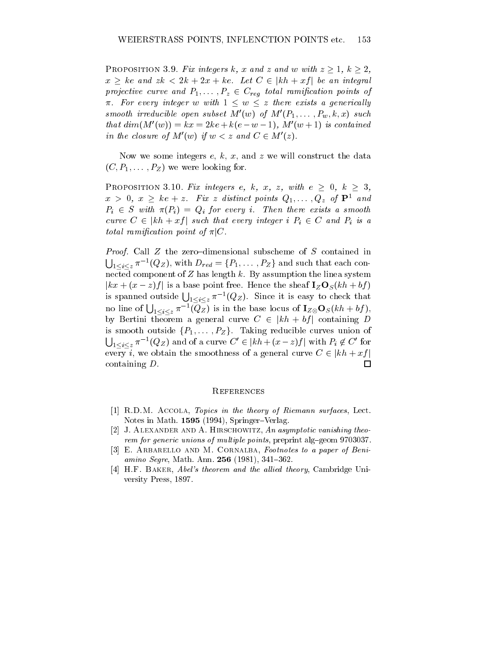PROPOSITION 3.9. Fix integers k, x and z and w with  $z \geq 1$ ,  $k \geq 2$ ,  $x \geq ke$  and  $zk < 2k + 2x + ke$ . Let  $C \in |kh + xf|$  be an integral projective curve and  $P_1, \ldots, P_z \in C_{req}$  total ramification points of  $\pi$ . For every integer w with  $1 \leq w \leq z$  there exists a generically smooth irreducible open subset  $M'(w)$  of  $M'(P_1,\ldots,P_w,k,x)$  such that  $dim(M'(w)) = kx = 2ke + k(e - w - 1)$ ,  $M'(w + 1)$  is contained in the closure of  $M'(w)$  if  $w < z$  and  $C \in M'(z)$ .

Now we some integers  $e, k, x$ , and  $z$  we will construct the data  $(C, P_1, \ldots, P_Z)$  we were looking for.

PROPOSITION 3.10. Fix integers e, k, x, z, with  $e \geq 0$ ,  $k \geq 3$ ,  $x > 0, x \geq ke + z$ . Fix z distinct points  $Q_1, \ldots, Q_z$  of  $\mathbf{P}^1$  and  $P_i \in S$  with  $\pi(P_i) = Q_i$  for every i. Then there exists a smooth curve  $C \in |kh + xf|$  such that every integer i  $P_i \in C$  and  $P_i$  is a total ramification point of  $\pi |C$ .

*Proof.* Call  $Z$  the zero-dimensional subscheme of  $S$  contained in  $\bigcup_{1 \leq i \leq z} \pi^{-1}(Q_Z)$ , with  $D_{red} = \{P_1, \ldots, P_Z\}$  and such that each connected component of Z has length  $k$ . By assumption the linea system  $|kx + (x - z)f|$  is a base point free. Hence the sheaf  $\mathbf{I}_Z \mathbf{O}_S(kh + bf)$ is spanned outside  $\bigcup_{1 \leq i \leq z} \pi^{-1}(Q_Z)$ . Since it is easy to check that no line of  $\bigcup_{1 \leq i \leq z} \pi^{-1}(Q_Z)$  is in the base locus of  $\mathbf{I}_{Z \otimes} \mathbf{O}_S(kh + bf),$ by Bertini theorem a general curve  $C \in |kh + bf|$  containing D is smooth outside  $\{P_1,\ldots,P_Z\}$ . Taking reducible curves union of  $\bigcup_{1 \leq i \leq z} \pi^{-1}(Q_Z)$  and of a curve  $C' \in |kh + (x - z)f|$  with  $P_i \not\in C'$  for every i, we obtain the smoothness of a general curve  $C \in |kh + xf|$ containing D.  $\Box$ 

#### **REFERENCES**

- $[1]$  R.D.M. ACCOLA, Topics in the theory of Riemann surfaces, Lect. Notes in Math. 1595 (1994), Springer-Verlag.
- [2] J. ALEXANDER AND A. HIRSCHOWITZ, An asymptotic vanishing theorem for generic unions of multiple points, preprint alg-geom 9703037.
- [3] E. ARBARELLO AND M. CORNALBA, Footnotes to a paper of Beniamino Segre, Math. Ann. 256 (1981), 341-362.
- [4] H.F. BAKER, Abel's theorem and the allied theory, Cambridge University Press, 1897.